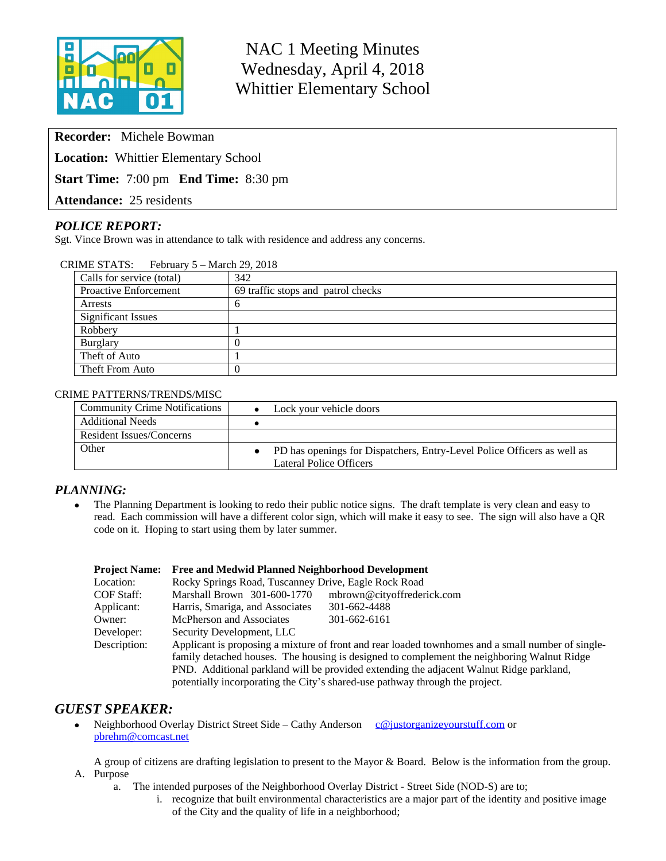

NAC 1 Meeting Minutes Wednesday, April 4, 2018 Whittier Elementary School

**Recorder:** Michele Bowman

**Location:** Whittier Elementary School

**Start Time:** 7:00 pm **End Time:** 8:30 pm

**Attendance:** 25 residents

## *POLICE REPORT:*

Sgt. Vince Brown was in attendance to talk with residence and address any concerns.

| CRIME STATS: February 5 – March 29, 2018 |                                    |  |  |  |
|------------------------------------------|------------------------------------|--|--|--|
| Calls for service (total)                | 342                                |  |  |  |
| Proactive Enforcement                    | 69 traffic stops and patrol checks |  |  |  |
| Arrests                                  |                                    |  |  |  |
| <b>Significant Issues</b>                |                                    |  |  |  |
| Robbery                                  |                                    |  |  |  |
| Burglary                                 |                                    |  |  |  |
| Theft of Auto                            |                                    |  |  |  |
| Theft From Auto                          |                                    |  |  |  |
|                                          |                                    |  |  |  |

#### CRIME PATTERNS/TRENDS/MISC

| <b>Community Crime Notifications</b> | Lock your vehicle doors                                                                            |
|--------------------------------------|----------------------------------------------------------------------------------------------------|
| <b>Additional Needs</b>              |                                                                                                    |
| Resident Issues/Concerns             |                                                                                                    |
| Other                                | PD has openings for Dispatchers, Entry-Level Police Officers as well as<br>Lateral Police Officers |

#### *PLANNING:*

• The Planning Department is looking to redo their public notice signs. The draft template is very clean and easy to read. Each commission will have a different color sign, which will make it easy to see. The sign will also have a QR code on it. Hoping to start using them by later summer.

| <b>Project Name:</b> | <b>Free and Medwid Planned Neighborhood Development</b>                                           |                            |  |  |  |
|----------------------|---------------------------------------------------------------------------------------------------|----------------------------|--|--|--|
| Location:            | Rocky Springs Road, Tuscanney Drive, Eagle Rock Road                                              |                            |  |  |  |
| COF Staff:           | Marshall Brown 301-600-1770                                                                       | mbrown@cityoffrederick.com |  |  |  |
| Applicant:           | Harris, Smariga, and Associates                                                                   | 301-662-4488               |  |  |  |
| Owner:               | McPherson and Associates                                                                          | 301-662-6161               |  |  |  |
| Developer:           | Security Development, LLC                                                                         |                            |  |  |  |
| Description:         | Applicant is proposing a mixture of front and rear loaded townhomes and a small number of single- |                            |  |  |  |
|                      | family detached houses. The housing is designed to complement the neighboring Walnut Ridge        |                            |  |  |  |
|                      | PND. Additional parkland will be provided extending the adjacent Walnut Ridge parkland,           |                            |  |  |  |
|                      | potentially incorporating the City's shared-use pathway through the project.                      |                            |  |  |  |

## *GUEST SPEAKER:*

• Neighborhood Overlay District Street Side – Cathy Anderson [c@justorganizeyourstuff.com](mailto:c@justorganizeyourstuff.com) or [pbrehm@comcast.net](mailto:pbrehm@comcast.net)

A group of citizens are drafting legislation to present to the Mayor & Board. Below is the information from the group. A. Purpose

- a. The intended purposes of the Neighborhood Overlay District Street Side (NOD-S) are to;
	- i. recognize that built environmental characteristics are a major part of the identity and positive image of the City and the quality of life in a neighborhood;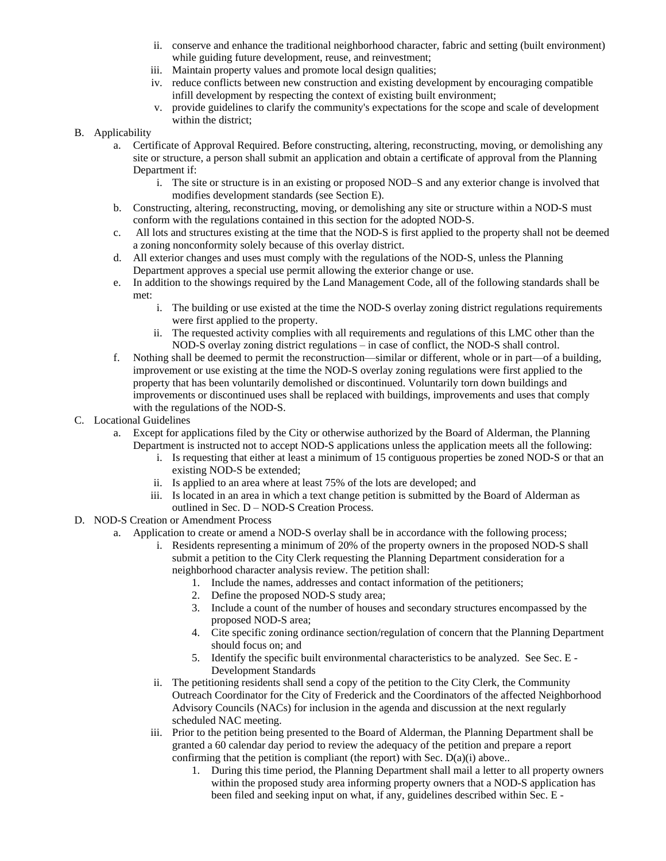- ii. conserve and enhance the traditional neighborhood character, fabric and setting (built environment) while guiding future development, reuse, and reinvestment;
- iii. Maintain property values and promote local design qualities;
- iv. reduce conflicts between new construction and existing development by encouraging compatible infill development by respecting the context of existing built environment;
- v. provide guidelines to clarify the community's expectations for the scope and scale of development within the district;

#### B. Applicability

- a. Certificate of Approval Required. Before constructing, altering, reconstructing, moving, or demolishing any site or structure, a person shall submit an application and obtain a certificate of approval from the Planning Department if:
	- i. The site or structure is in an existing or proposed NOD–S and any exterior change is involved that modifies development standards (see Section E).
- b. Constructing, altering, reconstructing, moving, or demolishing any site or structure within a NOD-S must conform with the regulations contained in this section for the adopted NOD-S.
- c. All lots and structures existing at the time that the NOD-S is first applied to the property shall not be deemed a zoning nonconformity solely because of this overlay district.
- d. All exterior changes and uses must comply with the regulations of the NOD-S, unless the Planning Department approves a special use permit allowing the exterior change or use.
- e. In addition to the showings required by the Land Management Code, all of the following standards shall be met:
	- i. The building or use existed at the time the NOD-S overlay zoning district regulations requirements were first applied to the property.
	- ii. The requested activity complies with all requirements and regulations of this LMC other than the NOD-S overlay zoning district regulations – in case of conflict, the NOD-S shall control.
- f. Nothing shall be deemed to permit the reconstruction—similar or different, whole or in part—of a building, improvement or use existing at the time the NOD-S overlay zoning regulations were first applied to the property that has been voluntarily demolished or discontinued. Voluntarily torn down buildings and improvements or discontinued uses shall be replaced with buildings, improvements and uses that comply with the regulations of the NOD-S.

#### C. Locational Guidelines

- a. Except for applications filed by the City or otherwise authorized by the Board of Alderman, the Planning Department is instructed not to accept NOD-S applications unless the application meets all the following:
	- i. Is requesting that either at least a minimum of 15 contiguous properties be zoned NOD-S or that an existing NOD-S be extended;
	- ii. Is applied to an area where at least 75% of the lots are developed; and
	- iii. Is located in an area in which a text change petition is submitted by the Board of Alderman as outlined in Sec. D – NOD-S Creation Process.
- D. NOD-S Creation or Amendment Process
	- a. Application to create or amend a NOD-S overlay shall be in accordance with the following process;
		- i. Residents representing a minimum of 20% of the property owners in the proposed NOD-S shall submit a petition to the City Clerk requesting the Planning Department consideration for a neighborhood character analysis review. The petition shall:
			- 1. Include the names, addresses and contact information of the petitioners;
			- 2. Define the proposed NOD-S study area;
			- 3. Include a count of the number of houses and secondary structures encompassed by the proposed NOD-S area;
			- 4. Cite specific zoning ordinance section/regulation of concern that the Planning Department should focus on; and
			- 5. Identify the specific built environmental characteristics to be analyzed. See Sec. E Development Standards
			- ii. The petitioning residents shall send a copy of the petition to the City Clerk, the Community Outreach Coordinator for the City of Frederick and the Coordinators of the affected Neighborhood Advisory Councils (NACs) for inclusion in the agenda and discussion at the next regularly scheduled NAC meeting.
		- iii. Prior to the petition being presented to the Board of Alderman, the Planning Department shall be granted a 60 calendar day period to review the adequacy of the petition and prepare a report confirming that the petition is compliant (the report) with Sec.  $D(a)(i)$  above..
			- 1. During this time period, the Planning Department shall mail a letter to all property owners within the proposed study area informing property owners that a NOD-S application has been filed and seeking input on what, if any, guidelines described within Sec. E -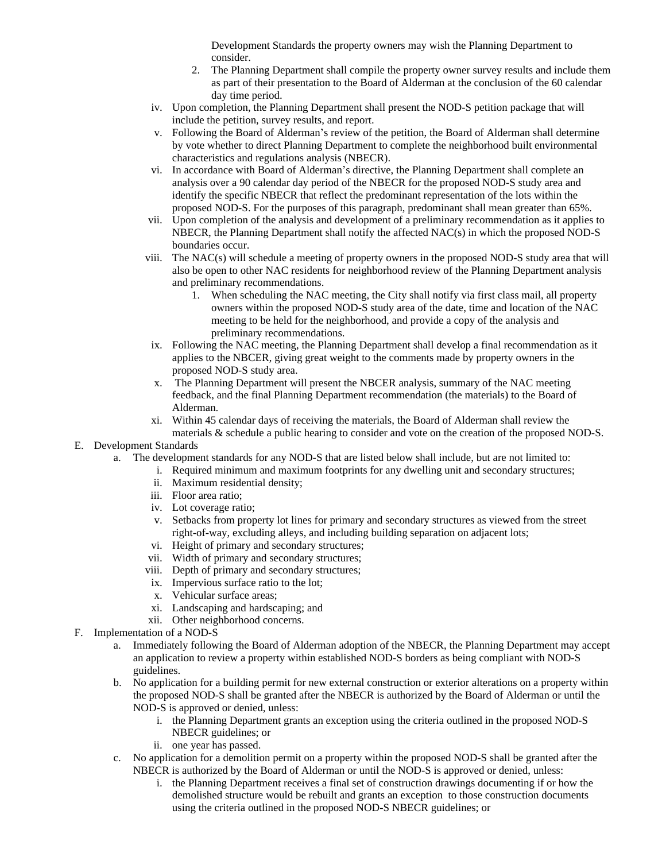Development Standards the property owners may wish the Planning Department to consider.

- 2. The Planning Department shall compile the property owner survey results and include them as part of their presentation to the Board of Alderman at the conclusion of the 60 calendar day time period.
- iv. Upon completion, the Planning Department shall present the NOD-S petition package that will include the petition, survey results, and report.
- v. Following the Board of Alderman's review of the petition, the Board of Alderman shall determine by vote whether to direct Planning Department to complete the neighborhood built environmental characteristics and regulations analysis (NBECR).
- vi. In accordance with Board of Alderman's directive, the Planning Department shall complete an analysis over a 90 calendar day period of the NBECR for the proposed NOD-S study area and identify the specific NBECR that reflect the predominant representation of the lots within the proposed NOD-S. For the purposes of this paragraph, predominant shall mean greater than 65%.
- vii. Upon completion of the analysis and development of a preliminary recommendation as it applies to NBECR, the Planning Department shall notify the affected NAC(s) in which the proposed NOD-S boundaries occur.
- viii. The NAC(s) will schedule a meeting of property owners in the proposed NOD-S study area that will also be open to other NAC residents for neighborhood review of the Planning Department analysis and preliminary recommendations.
	- 1. When scheduling the NAC meeting, the City shall notify via first class mail, all property owners within the proposed NOD-S study area of the date, time and location of the NAC meeting to be held for the neighborhood, and provide a copy of the analysis and preliminary recommendations.
- ix. Following the NAC meeting, the Planning Department shall develop a final recommendation as it applies to the NBCER, giving great weight to the comments made by property owners in the proposed NOD-S study area.
- x. The Planning Department will present the NBCER analysis, summary of the NAC meeting feedback, and the final Planning Department recommendation (the materials) to the Board of Alderman.
- xi. Within 45 calendar days of receiving the materials, the Board of Alderman shall review the materials & schedule a public hearing to consider and vote on the creation of the proposed NOD-S.

E. Development Standards

- a. The development standards for any NOD-S that are listed below shall include, but are not limited to:
	- i. Required minimum and maximum footprints for any dwelling unit and secondary structures;
	- ii. Maximum residential density;
	- iii. Floor area ratio;
	- iv. Lot coverage ratio;
	- v. Setbacks from property lot lines for primary and secondary structures as viewed from the street right-of-way, excluding alleys, and including building separation on adjacent lots;
	- vi. Height of primary and secondary structures;
	- vii. Width of primary and secondary structures;
	- viii. Depth of primary and secondary structures;
	- ix. Impervious surface ratio to the lot;
	- x. Vehicular surface areas;
	- xi. Landscaping and hardscaping; and
	- xii. Other neighborhood concerns.
- F. Implementation of a NOD-S
	- a. Immediately following the Board of Alderman adoption of the NBECR, the Planning Department may accept an application to review a property within established NOD-S borders as being compliant with NOD-S guidelines.
	- b. No application for a building permit for new external construction or exterior alterations on a property within the proposed NOD-S shall be granted after the NBECR is authorized by the Board of Alderman or until the NOD-S is approved or denied, unless:
		- i. the Planning Department grants an exception using the criteria outlined in the proposed NOD-S NBECR guidelines; or
		- ii. one year has passed.
	- c. No application for a demolition permit on a property within the proposed NOD-S shall be granted after the NBECR is authorized by the Board of Alderman or until the NOD-S is approved or denied, unless:
		- i. the Planning Department receives a final set of construction drawings documenting if or how the demolished structure would be rebuilt and grants an exception to those construction documents using the criteria outlined in the proposed NOD-S NBECR guidelines; or